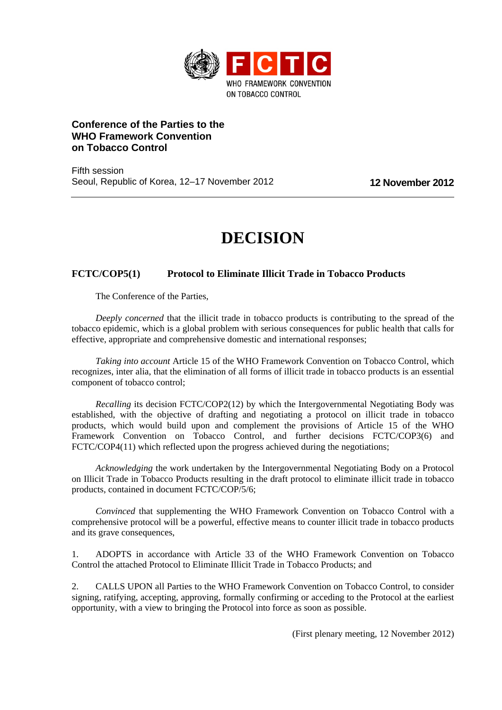

# **Conference of the Parties to the WHO Framework Convention on Tobacco Control**

Fifth session Seoul, Republic of Korea, 12–17 November 2012 **12 November 2012**

# **DECISION**

# **FCTC/COP5(1) Protocol to Eliminate Illicit Trade in Tobacco Products**

The Conference of the Parties,

*Deeply concerned* that the illicit trade in tobacco products is contributing to the spread of the tobacco epidemic, which is a global problem with serious consequences for public health that calls for effective, appropriate and comprehensive domestic and international responses;

*Taking into account* Article 15 of the WHO Framework Convention on Tobacco Control, which recognizes, inter alia, that the elimination of all forms of illicit trade in tobacco products is an essential component of tobacco control;

*Recalling* its decision FCTC/COP2(12) by which the Intergovernmental Negotiating Body was established, with the objective of drafting and negotiating a protocol on illicit trade in tobacco products, which would build upon and complement the provisions of Article 15 of the WHO Framework Convention on Tobacco Control, and further decisions FCTC/COP3(6) and FCTC/COP4(11) which reflected upon the progress achieved during the negotiations;

*Acknowledging* the work undertaken by the Intergovernmental Negotiating Body on a Protocol on Illicit Trade in Tobacco Products resulting in the draft protocol to eliminate illicit trade in tobacco products, contained in document FCTC/COP/5/6;

*Convinced* that supplementing the WHO Framework Convention on Tobacco Control with a comprehensive protocol will be a powerful, effective means to counter illicit trade in tobacco products and its grave consequences,

1. ADOPTS in accordance with Article 33 of the WHO Framework Convention on Tobacco Control the attached Protocol to Eliminate Illicit Trade in Tobacco Products; and

2. CALLS UPON all Parties to the WHO Framework Convention on Tobacco Control, to consider signing, ratifying, accepting, approving, formally confirming or acceding to the Protocol at the earliest opportunity, with a view to bringing the Protocol into force as soon as possible.

(First plenary meeting, 12 November 2012)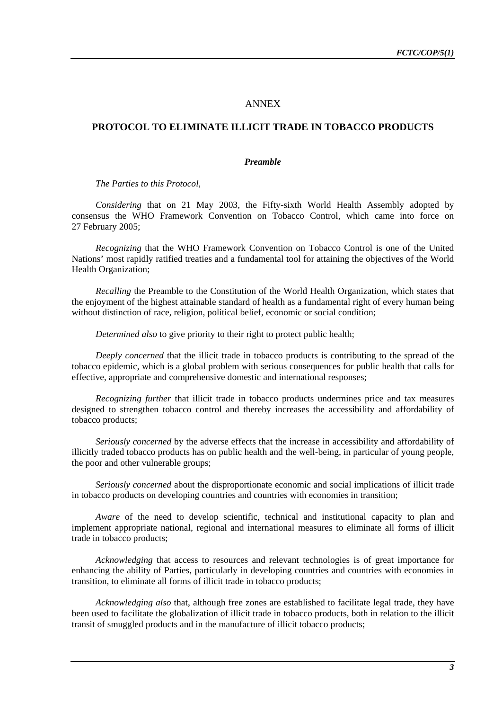## ANNEX

# **PROTOCOL TO ELIMINATE ILLICIT TRADE IN TOBACCO PRODUCTS**

## *Preamble*

*The Parties to this Protocol,* 

*Considering* that on 21 May 2003, the Fifty-sixth World Health Assembly adopted by consensus the WHO Framework Convention on Tobacco Control, which came into force on 27 February 2005;

*Recognizing* that the WHO Framework Convention on Tobacco Control is one of the United Nations' most rapidly ratified treaties and a fundamental tool for attaining the objectives of the World Health Organization;

*Recalling* the Preamble to the Constitution of the World Health Organization, which states that the enjoyment of the highest attainable standard of health as a fundamental right of every human being without distinction of race, religion, political belief, economic or social condition;

*Determined also* to give priority to their right to protect public health;

*Deeply concerned* that the illicit trade in tobacco products is contributing to the spread of the tobacco epidemic, which is a global problem with serious consequences for public health that calls for effective, appropriate and comprehensive domestic and international responses;

*Recognizing further* that illicit trade in tobacco products undermines price and tax measures designed to strengthen tobacco control and thereby increases the accessibility and affordability of tobacco products;

*Seriously concerned* by the adverse effects that the increase in accessibility and affordability of illicitly traded tobacco products has on public health and the well-being, in particular of young people, the poor and other vulnerable groups;

*Seriously concerned* about the disproportionate economic and social implications of illicit trade in tobacco products on developing countries and countries with economies in transition;

*Aware* of the need to develop scientific, technical and institutional capacity to plan and implement appropriate national, regional and international measures to eliminate all forms of illicit trade in tobacco products;

*Acknowledging* that access to resources and relevant technologies is of great importance for enhancing the ability of Parties, particularly in developing countries and countries with economies in transition, to eliminate all forms of illicit trade in tobacco products;

*Acknowledging also* that, although free zones are established to facilitate legal trade, they have been used to facilitate the globalization of illicit trade in tobacco products, both in relation to the illicit transit of smuggled products and in the manufacture of illicit tobacco products;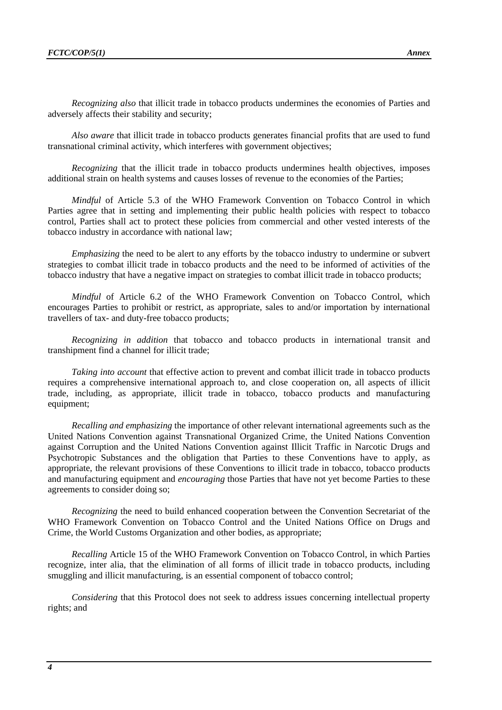*Recognizing also* that illicit trade in tobacco products undermines the economies of Parties and adversely affects their stability and security;

*Also aware* that illicit trade in tobacco products generates financial profits that are used to fund transnational criminal activity, which interferes with government objectives;

*Recognizing* that the illicit trade in tobacco products undermines health objectives, imposes additional strain on health systems and causes losses of revenue to the economies of the Parties;

*Mindful* of Article 5.3 of the WHO Framework Convention on Tobacco Control in which Parties agree that in setting and implementing their public health policies with respect to tobacco control, Parties shall act to protect these policies from commercial and other vested interests of the tobacco industry in accordance with national law;

*Emphasizing* the need to be alert to any efforts by the tobacco industry to undermine or subvert strategies to combat illicit trade in tobacco products and the need to be informed of activities of the tobacco industry that have a negative impact on strategies to combat illicit trade in tobacco products;

*Mindful* of Article 6.2 of the WHO Framework Convention on Tobacco Control, which encourages Parties to prohibit or restrict, as appropriate, sales to and/or importation by international travellers of tax- and duty-free tobacco products;

*Recognizing in addition* that tobacco and tobacco products in international transit and transhipment find a channel for illicit trade;

*Taking into account* that effective action to prevent and combat illicit trade in tobacco products requires a comprehensive international approach to, and close cooperation on, all aspects of illicit trade, including, as appropriate, illicit trade in tobacco, tobacco products and manufacturing equipment;

*Recalling and emphasizing* the importance of other relevant international agreements such as the United Nations Convention against Transnational Organized Crime, the United Nations Convention against Corruption and the United Nations Convention against Illicit Traffic in Narcotic Drugs and Psychotropic Substances and the obligation that Parties to these Conventions have to apply, as appropriate, the relevant provisions of these Conventions to illicit trade in tobacco, tobacco products and manufacturing equipment and *encouraging* those Parties that have not yet become Parties to these agreements to consider doing so;

*Recognizing* the need to build enhanced cooperation between the Convention Secretariat of the WHO Framework Convention on Tobacco Control and the United Nations Office on Drugs and Crime, the World Customs Organization and other bodies, as appropriate;

*Recalling* Article 15 of the WHO Framework Convention on Tobacco Control, in which Parties recognize, inter alia, that the elimination of all forms of illicit trade in tobacco products, including smuggling and illicit manufacturing, is an essential component of tobacco control;

*Considering* that this Protocol does not seek to address issues concerning intellectual property rights; and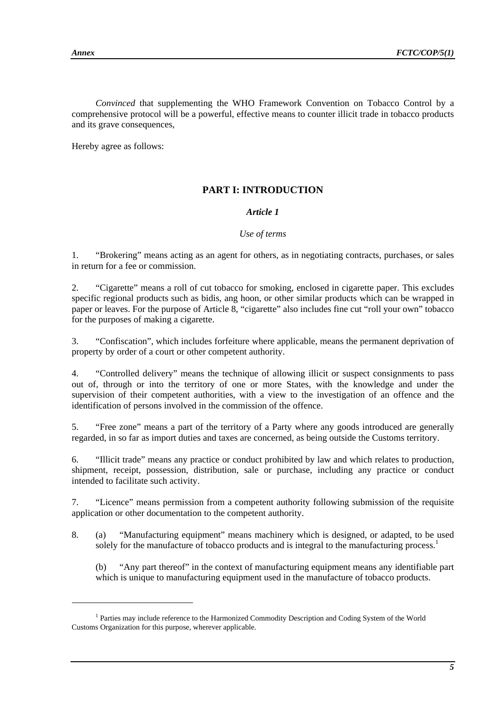-

*Convinced* that supplementing the WHO Framework Convention on Tobacco Control by a comprehensive protocol will be a powerful, effective means to counter illicit trade in tobacco products and its grave consequences,

Hereby agree as follows:

# **PART I: INTRODUCTION**

## *Article 1*

## *Use of terms*

1. "Brokering" means acting as an agent for others, as in negotiating contracts, purchases, or sales in return for a fee or commission.

2. "Cigarette" means a roll of cut tobacco for smoking, enclosed in cigarette paper. This excludes specific regional products such as bidis, ang hoon, or other similar products which can be wrapped in paper or leaves. For the purpose of Article 8, "cigarette" also includes fine cut "roll your own" tobacco for the purposes of making a cigarette.

3. "Confiscation", which includes forfeiture where applicable, means the permanent deprivation of property by order of a court or other competent authority.

4. "Controlled delivery" means the technique of allowing illicit or suspect consignments to pass out of, through or into the territory of one or more States, with the knowledge and under the supervision of their competent authorities, with a view to the investigation of an offence and the identification of persons involved in the commission of the offence.

5. "Free zone" means a part of the territory of a Party where any goods introduced are generally regarded, in so far as import duties and taxes are concerned, as being outside the Customs territory.

6. "Illicit trade" means any practice or conduct prohibited by law and which relates to production, shipment, receipt, possession, distribution, sale or purchase, including any practice or conduct intended to facilitate such activity.

7. "Licence" means permission from a competent authority following submission of the requisite application or other documentation to the competent authority.

8. (a) "Manufacturing equipment" means machinery which is designed, or adapted, to be used solely for the manufacture of tobacco products and is integral to the manufacturing process.<sup>1</sup>

(b) "Any part thereof" in the context of manufacturing equipment means any identifiable part which is unique to manufacturing equipment used in the manufacture of tobacco products.

<sup>&</sup>lt;sup>1</sup> Parties may include reference to the Harmonized Commodity Description and Coding System of the World Customs Organization for this purpose, wherever applicable.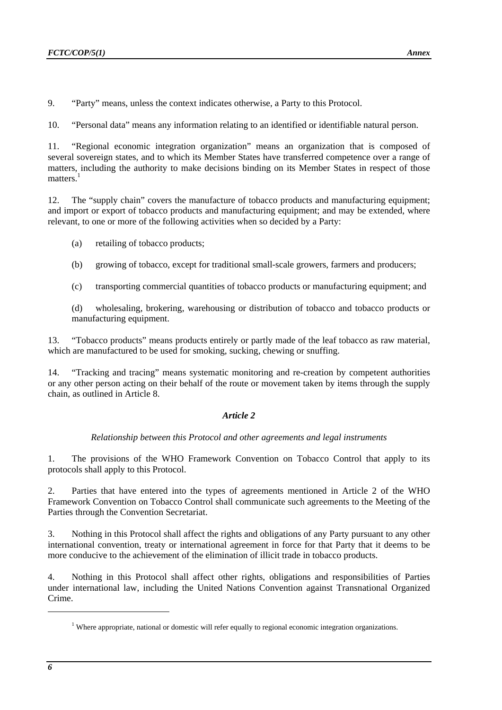9. "Party" means, unless the context indicates otherwise, a Party to this Protocol.

10. "Personal data" means any information relating to an identified or identifiable natural person.

11. "Regional economic integration organization" means an organization that is composed of several sovereign states, and to which its Member States have transferred competence over a range of matters, including the authority to make decisions binding on its Member States in respect of those matters.<sup>1</sup>

12. The "supply chain" covers the manufacture of tobacco products and manufacturing equipment; and import or export of tobacco products and manufacturing equipment; and may be extended, where relevant, to one or more of the following activities when so decided by a Party:

- (a) retailing of tobacco products;
- (b) growing of tobacco, except for traditional small-scale growers, farmers and producers;
- (c) transporting commercial quantities of tobacco products or manufacturing equipment; and
- (d) wholesaling, brokering, warehousing or distribution of tobacco and tobacco products or manufacturing equipment.

13. "Tobacco products" means products entirely or partly made of the leaf tobacco as raw material, which are manufactured to be used for smoking, sucking, chewing or snuffing.

14. "Tracking and tracing" means systematic monitoring and re-creation by competent authorities or any other person acting on their behalf of the route or movement taken by items through the supply chain, as outlined in Article 8.

## *Article 2*

## *Relationship between this Protocol and other agreements and legal instruments*

1. The provisions of the WHO Framework Convention on Tobacco Control that apply to its protocols shall apply to this Protocol.

2. Parties that have entered into the types of agreements mentioned in Article 2 of the WHO Framework Convention on Tobacco Control shall communicate such agreements to the Meeting of the Parties through the Convention Secretariat.

3. Nothing in this Protocol shall affect the rights and obligations of any Party pursuant to any other international convention, treaty or international agreement in force for that Party that it deems to be more conducive to the achievement of the elimination of illicit trade in tobacco products.

4. Nothing in this Protocol shall affect other rights, obligations and responsibilities of Parties under international law, including the United Nations Convention against Transnational Organized Crime.

l

<sup>&</sup>lt;sup>1</sup> Where appropriate, national or domestic will refer equally to regional economic integration organizations.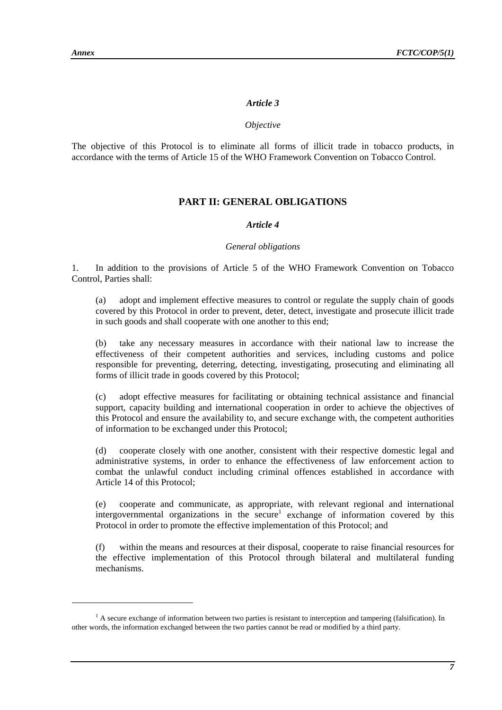-

#### *Article 3*

#### *Objective*

The objective of this Protocol is to eliminate all forms of illicit trade in tobacco products, in accordance with the terms of Article 15 of the WHO Framework Convention on Tobacco Control.

# **PART II: GENERAL OBLIGATIONS**

#### *Article 4*

#### *General obligations*

1. In addition to the provisions of Article 5 of the WHO Framework Convention on Tobacco Control, Parties shall:

(a) adopt and implement effective measures to control or regulate the supply chain of goods covered by this Protocol in order to prevent, deter, detect, investigate and prosecute illicit trade in such goods and shall cooperate with one another to this end;

(b) take any necessary measures in accordance with their national law to increase the effectiveness of their competent authorities and services, including customs and police responsible for preventing, deterring, detecting, investigating, prosecuting and eliminating all forms of illicit trade in goods covered by this Protocol;

(c) adopt effective measures for facilitating or obtaining technical assistance and financial support, capacity building and international cooperation in order to achieve the objectives of this Protocol and ensure the availability to, and secure exchange with, the competent authorities of information to be exchanged under this Protocol;

(d) cooperate closely with one another, consistent with their respective domestic legal and administrative systems, in order to enhance the effectiveness of law enforcement action to combat the unlawful conduct including criminal offences established in accordance with Article 14 of this Protocol;

(e) cooperate and communicate, as appropriate, with relevant regional and international intergovernmental organizations in the secure<sup>1</sup> exchange of information covered by this Protocol in order to promote the effective implementation of this Protocol; and

(f) within the means and resources at their disposal, cooperate to raise financial resources for the effective implementation of this Protocol through bilateral and multilateral funding mechanisms.

<sup>&</sup>lt;sup>1</sup> A secure exchange of information between two parties is resistant to interception and tampering (falsification). In other words, the information exchanged between the two parties cannot be read or modified by a third party.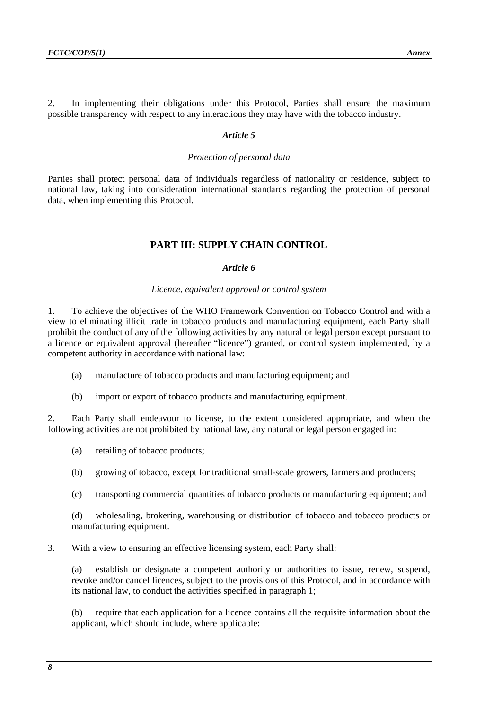2. In implementing their obligations under this Protocol, Parties shall ensure the maximum possible transparency with respect to any interactions they may have with the tobacco industry.

## *Article 5*

#### *Protection of personal data*

Parties shall protect personal data of individuals regardless of nationality or residence, subject to national law, taking into consideration international standards regarding the protection of personal data, when implementing this Protocol.

## **PART III: SUPPLY CHAIN CONTROL**

#### *Article 6*

#### *Licence, equivalent approval or control system*

1. To achieve the objectives of the WHO Framework Convention on Tobacco Control and with a view to eliminating illicit trade in tobacco products and manufacturing equipment, each Party shall prohibit the conduct of any of the following activities by any natural or legal person except pursuant to a licence or equivalent approval (hereafter "licence") granted, or control system implemented, by a competent authority in accordance with national law:

- (a) manufacture of tobacco products and manufacturing equipment; and
- (b) import or export of tobacco products and manufacturing equipment.

2. Each Party shall endeavour to license, to the extent considered appropriate, and when the following activities are not prohibited by national law, any natural or legal person engaged in:

- (a) retailing of tobacco products;
- (b) growing of tobacco, except for traditional small-scale growers, farmers and producers;
- (c) transporting commercial quantities of tobacco products or manufacturing equipment; and

(d) wholesaling, brokering, warehousing or distribution of tobacco and tobacco products or manufacturing equipment.

3. With a view to ensuring an effective licensing system, each Party shall:

(a) establish or designate a competent authority or authorities to issue, renew, suspend, revoke and/or cancel licences, subject to the provisions of this Protocol, and in accordance with its national law, to conduct the activities specified in paragraph 1;

(b) require that each application for a licence contains all the requisite information about the applicant, which should include, where applicable: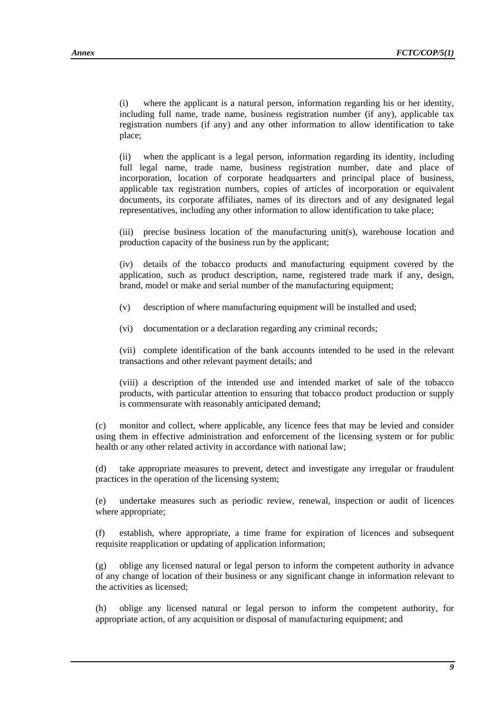(i) where the applicant is a natural person, information regarding his or her identity, including full name, trade name, business registration number (if any), applicable tax registration numbers (if any) and any other information to allow identification to take place;

(ii) when the applicant is a legal person, information regarding its identity, including full legal name, trade name, business registration number, date and place of incorporation, location of corporate headquarters and principal place of business, applicable tax registration numbers, copies of articles of incorporation or equivalent documents, its corporate affiliates, names of its directors and of any designated legal representatives, including any other information to allow identification to take place;

(iii) precise business location of the manufacturing unit(s), warehouse location and production capacity of the business run by the applicant;

(iv) details of the tobacco products and manufacturing equipment covered by the application, such as product description, name, registered trade mark if any, design, brand, model or make and serial number of the manufacturing equipment;

(v) description of where manufacturing equipment will be installed and used;

(vi) documentation or a declaration regarding any criminal records;

(vii) complete identification of the bank accounts intended to be used in the relevant transactions and other relevant payment details; and

(viii) a description of the intended use and intended market of sale of the tobacco products, with particular attention to ensuring that tobacco product production or supply is commensurate with reasonably anticipated demand;

(c) monitor and collect, where applicable, any licence fees that may be levied and consider using them in effective administration and enforcement of the licensing system or for public health or any other related activity in accordance with national law;

(d) take appropriate measures to prevent, detect and investigate any irregular or fraudulent practices in the operation of the licensing system;

(e) undertake measures such as periodic review, renewal, inspection or audit of licences where appropriate;

(f) establish, where appropriate, a time frame for expiration of licences and subsequent requisite reapplication or updating of application information;

(g) oblige any licensed natural or legal person to inform the competent authority in advance of any change of location of their business or any significant change in information relevant to the activities as licensed;

(h) oblige any licensed natural or legal person to inform the competent authority, for appropriate action, of any acquisition or disposal of manufacturing equipment; and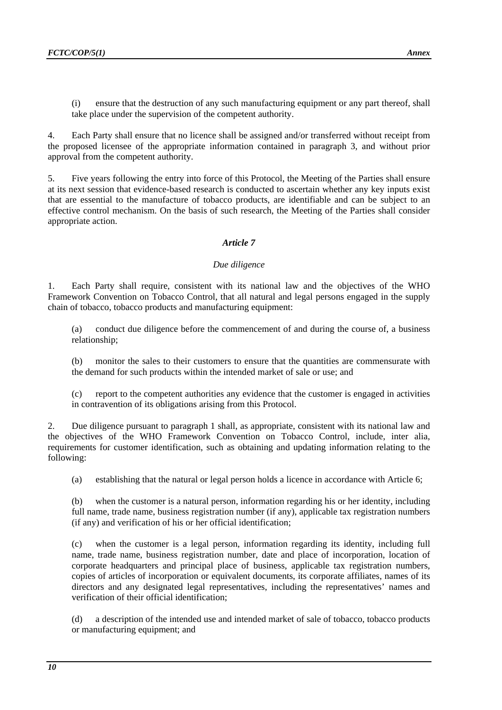(i) ensure that the destruction of any such manufacturing equipment or any part thereof, shall take place under the supervision of the competent authority.

4. Each Party shall ensure that no licence shall be assigned and/or transferred without receipt from the proposed licensee of the appropriate information contained in paragraph 3, and without prior approval from the competent authority.

5. Five years following the entry into force of this Protocol, the Meeting of the Parties shall ensure at its next session that evidence-based research is conducted to ascertain whether any key inputs exist that are essential to the manufacture of tobacco products, are identifiable and can be subject to an effective control mechanism. On the basis of such research, the Meeting of the Parties shall consider appropriate action.

#### *Article 7*

#### *Due diligence*

1. Each Party shall require, consistent with its national law and the objectives of the WHO Framework Convention on Tobacco Control, that all natural and legal persons engaged in the supply chain of tobacco, tobacco products and manufacturing equipment:

(a) conduct due diligence before the commencement of and during the course of, a business relationship;

(b) monitor the sales to their customers to ensure that the quantities are commensurate with the demand for such products within the intended market of sale or use; and

(c) report to the competent authorities any evidence that the customer is engaged in activities in contravention of its obligations arising from this Protocol.

2. Due diligence pursuant to paragraph 1 shall, as appropriate, consistent with its national law and the objectives of the WHO Framework Convention on Tobacco Control, include, inter alia, requirements for customer identification, such as obtaining and updating information relating to the following:

(a) establishing that the natural or legal person holds a licence in accordance with Article 6;

(b) when the customer is a natural person, information regarding his or her identity, including full name, trade name, business registration number (if any), applicable tax registration numbers (if any) and verification of his or her official identification;

(c) when the customer is a legal person, information regarding its identity, including full name, trade name, business registration number, date and place of incorporation, location of corporate headquarters and principal place of business, applicable tax registration numbers, copies of articles of incorporation or equivalent documents, its corporate affiliates, names of its directors and any designated legal representatives, including the representatives' names and verification of their official identification;

(d) a description of the intended use and intended market of sale of tobacco, tobacco products or manufacturing equipment; and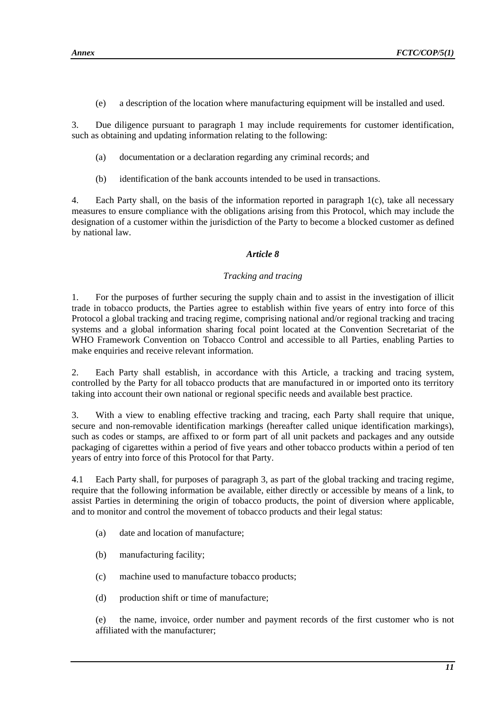(e) a description of the location where manufacturing equipment will be installed and used.

3. Due diligence pursuant to paragraph 1 may include requirements for customer identification, such as obtaining and updating information relating to the following:

- (a) documentation or a declaration regarding any criminal records; and
- (b) identification of the bank accounts intended to be used in transactions.

4. Each Party shall, on the basis of the information reported in paragraph 1(c), take all necessary measures to ensure compliance with the obligations arising from this Protocol, which may include the designation of a customer within the jurisdiction of the Party to become a blocked customer as defined by national law.

## *Article 8*

## *Tracking and tracing*

1. For the purposes of further securing the supply chain and to assist in the investigation of illicit trade in tobacco products, the Parties agree to establish within five years of entry into force of this Protocol a global tracking and tracing regime, comprising national and/or regional tracking and tracing systems and a global information sharing focal point located at the Convention Secretariat of the WHO Framework Convention on Tobacco Control and accessible to all Parties, enabling Parties to make enquiries and receive relevant information.

2. Each Party shall establish, in accordance with this Article, a tracking and tracing system, controlled by the Party for all tobacco products that are manufactured in or imported onto its territory taking into account their own national or regional specific needs and available best practice.

3. With a view to enabling effective tracking and tracing, each Party shall require that unique, secure and non-removable identification markings (hereafter called unique identification markings), such as codes or stamps, are affixed to or form part of all unit packets and packages and any outside packaging of cigarettes within a period of five years and other tobacco products within a period of ten years of entry into force of this Protocol for that Party.

4.1 Each Party shall, for purposes of paragraph 3, as part of the global tracking and tracing regime, require that the following information be available, either directly or accessible by means of a link, to assist Parties in determining the origin of tobacco products, the point of diversion where applicable, and to monitor and control the movement of tobacco products and their legal status:

- (a) date and location of manufacture;
- (b) manufacturing facility;
- (c) machine used to manufacture tobacco products;
- (d) production shift or time of manufacture;

(e) the name, invoice, order number and payment records of the first customer who is not affiliated with the manufacturer;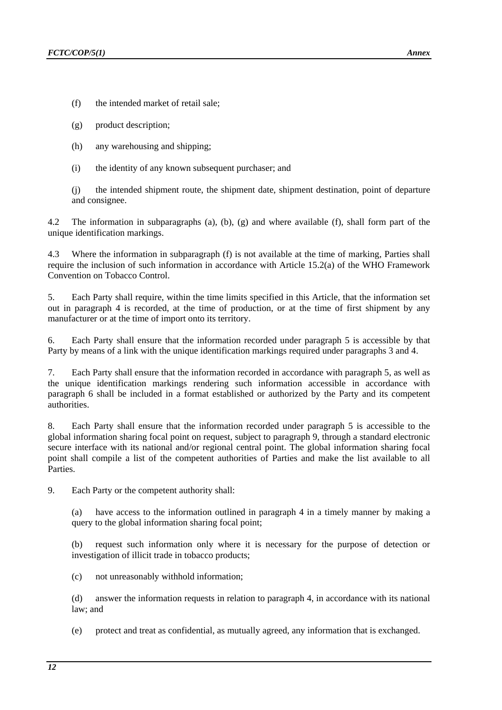(f) the intended market of retail sale;

(g) product description;

(h) any warehousing and shipping;

(i) the identity of any known subsequent purchaser; and

(j) the intended shipment route, the shipment date, shipment destination, point of departure and consignee.

4.2 The information in subparagraphs (a), (b), (g) and where available (f), shall form part of the unique identification markings.

4.3 Where the information in subparagraph (f) is not available at the time of marking, Parties shall require the inclusion of such information in accordance with Article 15.2(a) of the WHO Framework Convention on Tobacco Control.

5. Each Party shall require, within the time limits specified in this Article, that the information set out in paragraph 4 is recorded, at the time of production, or at the time of first shipment by any manufacturer or at the time of import onto its territory.

6. Each Party shall ensure that the information recorded under paragraph 5 is accessible by that Party by means of a link with the unique identification markings required under paragraphs 3 and 4.

7. Each Party shall ensure that the information recorded in accordance with paragraph 5, as well as the unique identification markings rendering such information accessible in accordance with paragraph 6 shall be included in a format established or authorized by the Party and its competent authorities.

8. Each Party shall ensure that the information recorded under paragraph 5 is accessible to the global information sharing focal point on request, subject to paragraph 9, through a standard electronic secure interface with its national and/or regional central point. The global information sharing focal point shall compile a list of the competent authorities of Parties and make the list available to all **Parties** 

9. Each Party or the competent authority shall:

(a) have access to the information outlined in paragraph 4 in a timely manner by making a query to the global information sharing focal point;

(b) request such information only where it is necessary for the purpose of detection or investigation of illicit trade in tobacco products;

(c) not unreasonably withhold information;

(d) answer the information requests in relation to paragraph 4, in accordance with its national law; and

(e) protect and treat as confidential, as mutually agreed, any information that is exchanged.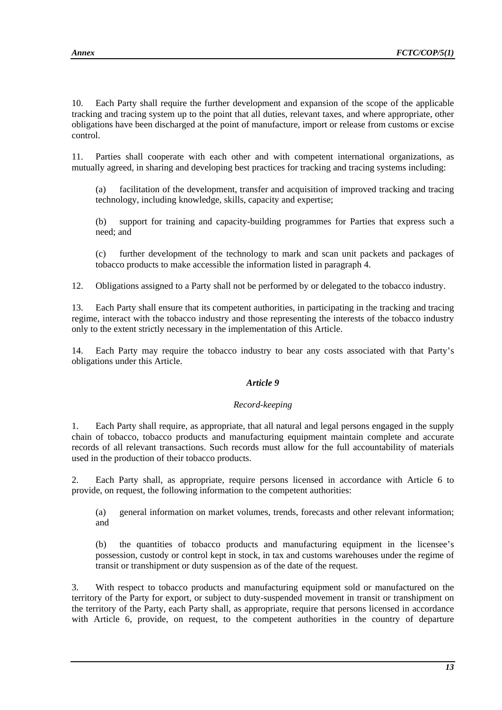10. Each Party shall require the further development and expansion of the scope of the applicable tracking and tracing system up to the point that all duties, relevant taxes, and where appropriate, other obligations have been discharged at the point of manufacture, import or release from customs or excise control.

11. Parties shall cooperate with each other and with competent international organizations, as mutually agreed, in sharing and developing best practices for tracking and tracing systems including:

(a) facilitation of the development, transfer and acquisition of improved tracking and tracing technology, including knowledge, skills, capacity and expertise;

(b) support for training and capacity-building programmes for Parties that express such a need; and

(c) further development of the technology to mark and scan unit packets and packages of tobacco products to make accessible the information listed in paragraph 4.

12. Obligations assigned to a Party shall not be performed by or delegated to the tobacco industry.

13. Each Party shall ensure that its competent authorities, in participating in the tracking and tracing regime, interact with the tobacco industry and those representing the interests of the tobacco industry only to the extent strictly necessary in the implementation of this Article.

14. Each Party may require the tobacco industry to bear any costs associated with that Party's obligations under this Article.

## *Article 9*

## *Record-keeping*

1. Each Party shall require, as appropriate, that all natural and legal persons engaged in the supply chain of tobacco, tobacco products and manufacturing equipment maintain complete and accurate records of all relevant transactions. Such records must allow for the full accountability of materials used in the production of their tobacco products.

2. Each Party shall, as appropriate, require persons licensed in accordance with Article 6 to provide, on request, the following information to the competent authorities:

(a) general information on market volumes, trends, forecasts and other relevant information; and

(b) the quantities of tobacco products and manufacturing equipment in the licensee's possession, custody or control kept in stock, in tax and customs warehouses under the regime of transit or transhipment or duty suspension as of the date of the request.

3. With respect to tobacco products and manufacturing equipment sold or manufactured on the territory of the Party for export, or subject to duty-suspended movement in transit or transhipment on the territory of the Party, each Party shall, as appropriate, require that persons licensed in accordance with Article 6, provide, on request, to the competent authorities in the country of departure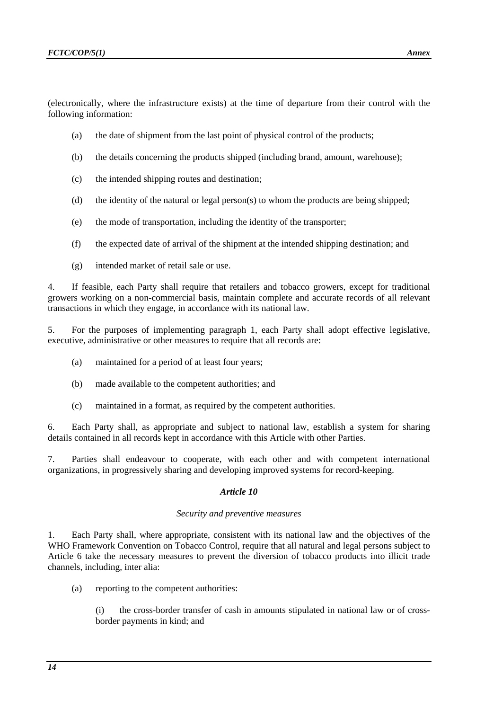(electronically, where the infrastructure exists) at the time of departure from their control with the following information:

- (a) the date of shipment from the last point of physical control of the products;
- (b) the details concerning the products shipped (including brand, amount, warehouse);
- (c) the intended shipping routes and destination;
- (d) the identity of the natural or legal person(s) to whom the products are being shipped;
- (e) the mode of transportation, including the identity of the transporter;
- (f) the expected date of arrival of the shipment at the intended shipping destination; and
- (g) intended market of retail sale or use.

4. If feasible, each Party shall require that retailers and tobacco growers, except for traditional growers working on a non-commercial basis, maintain complete and accurate records of all relevant transactions in which they engage, in accordance with its national law.

5. For the purposes of implementing paragraph 1, each Party shall adopt effective legislative, executive, administrative or other measures to require that all records are:

- (a) maintained for a period of at least four years;
- (b) made available to the competent authorities; and
- (c) maintained in a format, as required by the competent authorities.

6. Each Party shall, as appropriate and subject to national law, establish a system for sharing details contained in all records kept in accordance with this Article with other Parties.

7. Parties shall endeavour to cooperate, with each other and with competent international organizations, in progressively sharing and developing improved systems for record-keeping.

## *Article 10*

## *Security and preventive measures*

1. Each Party shall, where appropriate, consistent with its national law and the objectives of the WHO Framework Convention on Tobacco Control, require that all natural and legal persons subject to Article 6 take the necessary measures to prevent the diversion of tobacco products into illicit trade channels, including, inter alia:

- (a) reporting to the competent authorities:
	- (i) the cross-border transfer of cash in amounts stipulated in national law or of crossborder payments in kind; and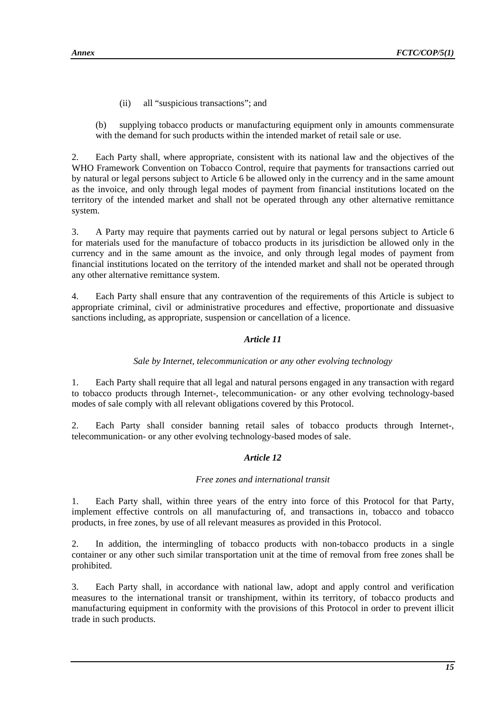(ii) all "suspicious transactions"; and

(b) supplying tobacco products or manufacturing equipment only in amounts commensurate with the demand for such products within the intended market of retail sale or use.

2. Each Party shall, where appropriate, consistent with its national law and the objectives of the WHO Framework Convention on Tobacco Control, require that payments for transactions carried out by natural or legal persons subject to Article 6 be allowed only in the currency and in the same amount as the invoice, and only through legal modes of payment from financial institutions located on the territory of the intended market and shall not be operated through any other alternative remittance system.

3. A Party may require that payments carried out by natural or legal persons subject to Article 6 for materials used for the manufacture of tobacco products in its jurisdiction be allowed only in the currency and in the same amount as the invoice, and only through legal modes of payment from financial institutions located on the territory of the intended market and shall not be operated through any other alternative remittance system.

4. Each Party shall ensure that any contravention of the requirements of this Article is subject to appropriate criminal, civil or administrative procedures and effective, proportionate and dissuasive sanctions including, as appropriate, suspension or cancellation of a licence.

# *Article 11*

## *Sale by Internet, telecommunication or any other evolving technology*

1. Each Party shall require that all legal and natural persons engaged in any transaction with regard to tobacco products through Internet-, telecommunication- or any other evolving technology-based modes of sale comply with all relevant obligations covered by this Protocol.

2. Each Party shall consider banning retail sales of tobacco products through Internet-, telecommunication- or any other evolving technology-based modes of sale.

## *Article 12*

## *Free zones and international transit*

1. Each Party shall, within three years of the entry into force of this Protocol for that Party, implement effective controls on all manufacturing of, and transactions in, tobacco and tobacco products, in free zones, by use of all relevant measures as provided in this Protocol.

2. In addition, the intermingling of tobacco products with non-tobacco products in a single container or any other such similar transportation unit at the time of removal from free zones shall be prohibited.

3. Each Party shall, in accordance with national law, adopt and apply control and verification measures to the international transit or transhipment, within its territory, of tobacco products and manufacturing equipment in conformity with the provisions of this Protocol in order to prevent illicit trade in such products.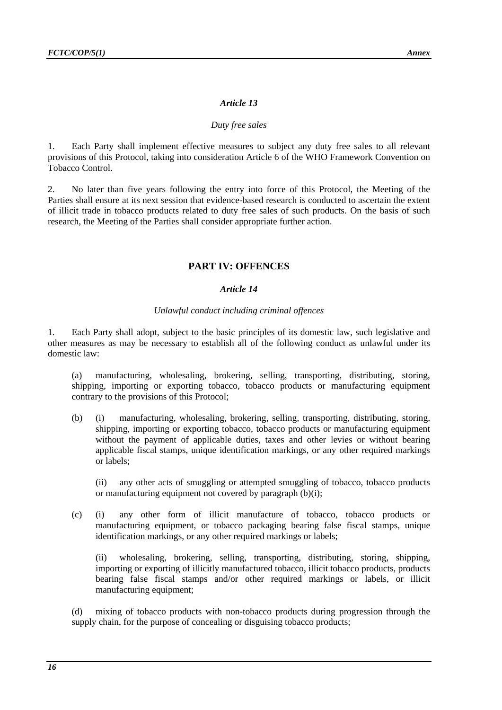#### *Duty free sales*

1. Each Party shall implement effective measures to subject any duty free sales to all relevant provisions of this Protocol, taking into consideration Article 6 of the WHO Framework Convention on Tobacco Control.

2. No later than five years following the entry into force of this Protocol, the Meeting of the Parties shall ensure at its next session that evidence-based research is conducted to ascertain the extent of illicit trade in tobacco products related to duty free sales of such products. On the basis of such research, the Meeting of the Parties shall consider appropriate further action.

## **PART IV: OFFENCES**

#### *Article 14*

#### *Unlawful conduct including criminal offences*

1. Each Party shall adopt, subject to the basic principles of its domestic law, such legislative and other measures as may be necessary to establish all of the following conduct as unlawful under its domestic law:

(a) manufacturing, wholesaling, brokering, selling, transporting, distributing, storing, shipping, importing or exporting tobacco, tobacco products or manufacturing equipment contrary to the provisions of this Protocol;

(b) (i) manufacturing, wholesaling, brokering, selling, transporting, distributing, storing, shipping, importing or exporting tobacco, tobacco products or manufacturing equipment without the payment of applicable duties, taxes and other levies or without bearing applicable fiscal stamps, unique identification markings, or any other required markings or labels;

(ii) any other acts of smuggling or attempted smuggling of tobacco, tobacco products or manufacturing equipment not covered by paragraph (b)(i);

(c) (i) any other form of illicit manufacture of tobacco, tobacco products or manufacturing equipment, or tobacco packaging bearing false fiscal stamps, unique identification markings, or any other required markings or labels;

(ii) wholesaling, brokering, selling, transporting, distributing, storing, shipping, importing or exporting of illicitly manufactured tobacco, illicit tobacco products, products bearing false fiscal stamps and/or other required markings or labels, or illicit manufacturing equipment;

(d) mixing of tobacco products with non-tobacco products during progression through the supply chain, for the purpose of concealing or disguising tobacco products;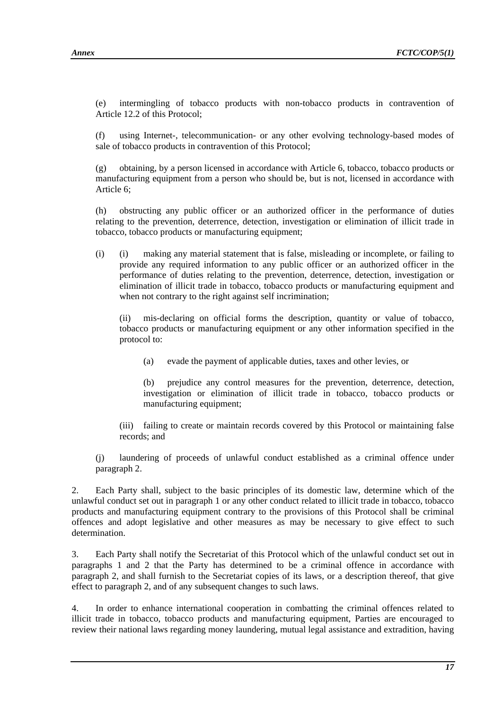(e) intermingling of tobacco products with non-tobacco products in contravention of Article 12.2 of this Protocol;

(f) using Internet-, telecommunication- or any other evolving technology-based modes of sale of tobacco products in contravention of this Protocol;

(g) obtaining, by a person licensed in accordance with Article 6, tobacco, tobacco products or manufacturing equipment from a person who should be, but is not, licensed in accordance with Article 6;

(h) obstructing any public officer or an authorized officer in the performance of duties relating to the prevention, deterrence, detection, investigation or elimination of illicit trade in tobacco, tobacco products or manufacturing equipment;

(i) (i) making any material statement that is false, misleading or incomplete, or failing to provide any required information to any public officer or an authorized officer in the performance of duties relating to the prevention, deterrence, detection, investigation or elimination of illicit trade in tobacco, tobacco products or manufacturing equipment and when not contrary to the right against self incrimination;

(ii) mis-declaring on official forms the description, quantity or value of tobacco, tobacco products or manufacturing equipment or any other information specified in the protocol to:

(a) evade the payment of applicable duties, taxes and other levies, or

(b) prejudice any control measures for the prevention, deterrence, detection, investigation or elimination of illicit trade in tobacco, tobacco products or manufacturing equipment;

(iii) failing to create or maintain records covered by this Protocol or maintaining false records; and

(j) laundering of proceeds of unlawful conduct established as a criminal offence under paragraph 2.

2. Each Party shall, subject to the basic principles of its domestic law, determine which of the unlawful conduct set out in paragraph 1 or any other conduct related to illicit trade in tobacco, tobacco products and manufacturing equipment contrary to the provisions of this Protocol shall be criminal offences and adopt legislative and other measures as may be necessary to give effect to such determination.

3. Each Party shall notify the Secretariat of this Protocol which of the unlawful conduct set out in paragraphs 1 and 2 that the Party has determined to be a criminal offence in accordance with paragraph 2, and shall furnish to the Secretariat copies of its laws, or a description thereof, that give effect to paragraph 2, and of any subsequent changes to such laws.

4. In order to enhance international cooperation in combatting the criminal offences related to illicit trade in tobacco, tobacco products and manufacturing equipment, Parties are encouraged to review their national laws regarding money laundering, mutual legal assistance and extradition, having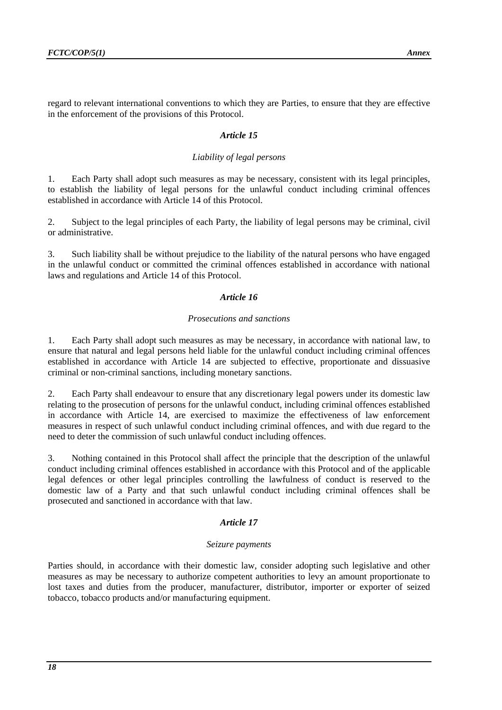regard to relevant international conventions to which they are Parties, to ensure that they are effective in the enforcement of the provisions of this Protocol.

## *Article 15*

## *Liability of legal persons*

1. Each Party shall adopt such measures as may be necessary, consistent with its legal principles, to establish the liability of legal persons for the unlawful conduct including criminal offences established in accordance with Article 14 of this Protocol.

2. Subject to the legal principles of each Party, the liability of legal persons may be criminal, civil or administrative.

3. Such liability shall be without prejudice to the liability of the natural persons who have engaged in the unlawful conduct or committed the criminal offences established in accordance with national laws and regulations and Article 14 of this Protocol.

## *Article 16*

#### *Prosecutions and sanctions*

1. Each Party shall adopt such measures as may be necessary, in accordance with national law, to ensure that natural and legal persons held liable for the unlawful conduct including criminal offences established in accordance with Article 14 are subjected to effective, proportionate and dissuasive criminal or non-criminal sanctions, including monetary sanctions.

2. Each Party shall endeavour to ensure that any discretionary legal powers under its domestic law relating to the prosecution of persons for the unlawful conduct, including criminal offences established in accordance with Article 14, are exercised to maximize the effectiveness of law enforcement measures in respect of such unlawful conduct including criminal offences, and with due regard to the need to deter the commission of such unlawful conduct including offences.

3. Nothing contained in this Protocol shall affect the principle that the description of the unlawful conduct including criminal offences established in accordance with this Protocol and of the applicable legal defences or other legal principles controlling the lawfulness of conduct is reserved to the domestic law of a Party and that such unlawful conduct including criminal offences shall be prosecuted and sanctioned in accordance with that law.

## *Article 17*

#### *Seizure payments*

Parties should, in accordance with their domestic law, consider adopting such legislative and other measures as may be necessary to authorize competent authorities to levy an amount proportionate to lost taxes and duties from the producer, manufacturer, distributor, importer or exporter of seized tobacco, tobacco products and/or manufacturing equipment.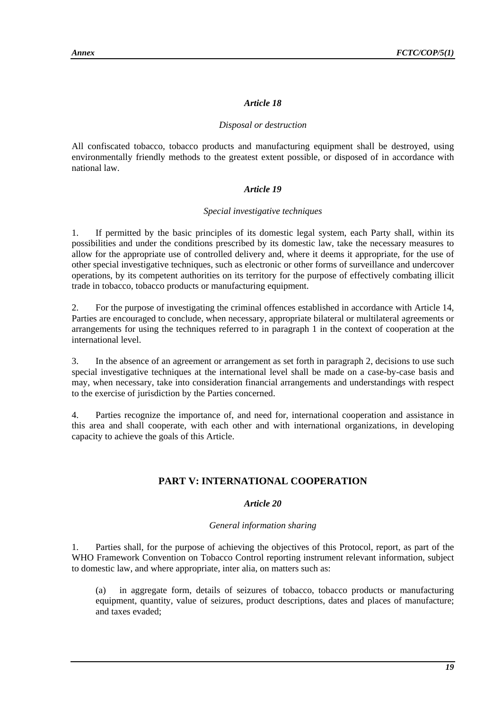#### *Disposal or destruction*

All confiscated tobacco, tobacco products and manufacturing equipment shall be destroyed, using environmentally friendly methods to the greatest extent possible, or disposed of in accordance with national law.

## *Article 19*

## *Special investigative techniques*

1. If permitted by the basic principles of its domestic legal system, each Party shall, within its possibilities and under the conditions prescribed by its domestic law, take the necessary measures to allow for the appropriate use of controlled delivery and, where it deems it appropriate, for the use of other special investigative techniques, such as electronic or other forms of surveillance and undercover operations, by its competent authorities on its territory for the purpose of effectively combating illicit trade in tobacco, tobacco products or manufacturing equipment.

2. For the purpose of investigating the criminal offences established in accordance with Article 14, Parties are encouraged to conclude, when necessary, appropriate bilateral or multilateral agreements or arrangements for using the techniques referred to in paragraph 1 in the context of cooperation at the international level.

3. In the absence of an agreement or arrangement as set forth in paragraph 2, decisions to use such special investigative techniques at the international level shall be made on a case-by-case basis and may, when necessary, take into consideration financial arrangements and understandings with respect to the exercise of jurisdiction by the Parties concerned.

4. Parties recognize the importance of, and need for, international cooperation and assistance in this area and shall cooperate, with each other and with international organizations, in developing capacity to achieve the goals of this Article.

# **PART V: INTERNATIONAL COOPERATION**

## *Article 20*

## *General information sharing*

1. Parties shall, for the purpose of achieving the objectives of this Protocol, report, as part of the WHO Framework Convention on Tobacco Control reporting instrument relevant information, subject to domestic law, and where appropriate, inter alia, on matters such as:

(a) in aggregate form, details of seizures of tobacco, tobacco products or manufacturing equipment, quantity, value of seizures, product descriptions, dates and places of manufacture; and taxes evaded;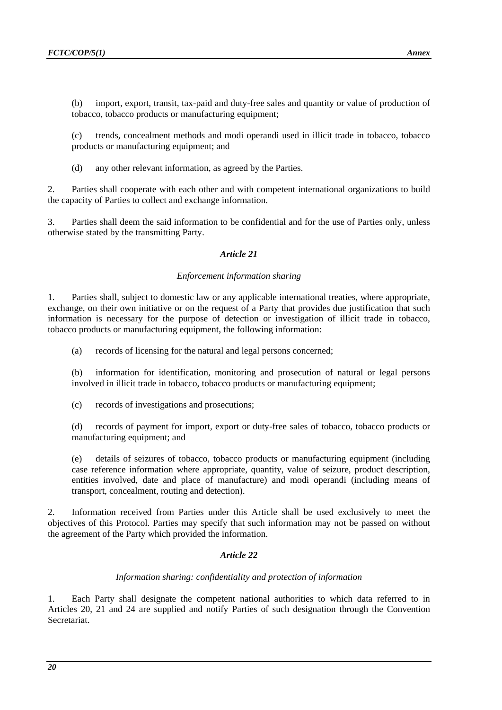(b) import, export, transit, tax-paid and duty-free sales and quantity or value of production of tobacco, tobacco products or manufacturing equipment;

(c) trends, concealment methods and modi operandi used in illicit trade in tobacco, tobacco products or manufacturing equipment; and

(d) any other relevant information, as agreed by the Parties.

2. Parties shall cooperate with each other and with competent international organizations to build the capacity of Parties to collect and exchange information.

3. Parties shall deem the said information to be confidential and for the use of Parties only, unless otherwise stated by the transmitting Party.

## *Article 21*

## *Enforcement information sharing*

1. Parties shall, subject to domestic law or any applicable international treaties, where appropriate, exchange, on their own initiative or on the request of a Party that provides due justification that such information is necessary for the purpose of detection or investigation of illicit trade in tobacco, tobacco products or manufacturing equipment, the following information:

(a) records of licensing for the natural and legal persons concerned;

(b) information for identification, monitoring and prosecution of natural or legal persons involved in illicit trade in tobacco, tobacco products or manufacturing equipment;

(c) records of investigations and prosecutions;

(d) records of payment for import, export or duty-free sales of tobacco, tobacco products or manufacturing equipment; and

(e) details of seizures of tobacco, tobacco products or manufacturing equipment (including case reference information where appropriate, quantity, value of seizure, product description, entities involved, date and place of manufacture) and modi operandi (including means of transport, concealment, routing and detection).

2. Information received from Parties under this Article shall be used exclusively to meet the objectives of this Protocol. Parties may specify that such information may not be passed on without the agreement of the Party which provided the information.

# *Article 22*

## *Information sharing: confidentiality and protection of information*

1. Each Party shall designate the competent national authorities to which data referred to in Articles 20, 21 and 24 are supplied and notify Parties of such designation through the Convention Secretariat.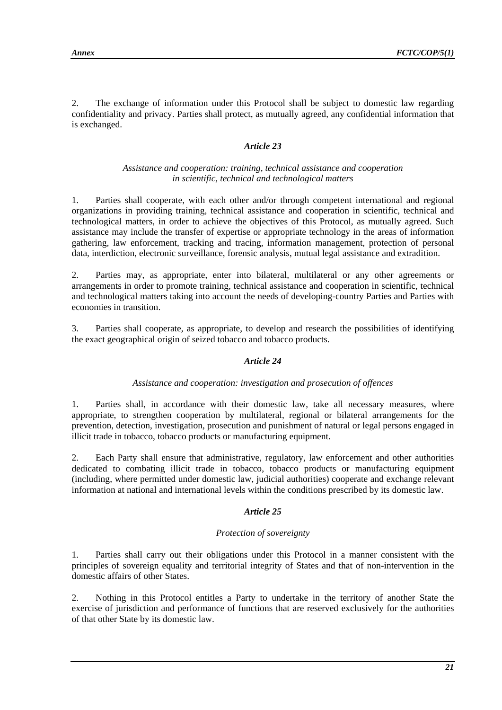2. The exchange of information under this Protocol shall be subject to domestic law regarding confidentiality and privacy. Parties shall protect, as mutually agreed, any confidential information that is exchanged.

## *Article 23*

## *Assistance and cooperation: training, technical assistance and cooperation in scientific, technical and technological matters*

1. Parties shall cooperate, with each other and/or through competent international and regional organizations in providing training, technical assistance and cooperation in scientific, technical and technological matters, in order to achieve the objectives of this Protocol, as mutually agreed. Such assistance may include the transfer of expertise or appropriate technology in the areas of information gathering, law enforcement, tracking and tracing, information management, protection of personal data, interdiction, electronic surveillance, forensic analysis, mutual legal assistance and extradition.

2. Parties may, as appropriate, enter into bilateral, multilateral or any other agreements or arrangements in order to promote training, technical assistance and cooperation in scientific, technical and technological matters taking into account the needs of developing-country Parties and Parties with economies in transition.

3. Parties shall cooperate, as appropriate, to develop and research the possibilities of identifying the exact geographical origin of seized tobacco and tobacco products.

## *Article 24*

## *Assistance and cooperation: investigation and prosecution of offences*

1. Parties shall, in accordance with their domestic law, take all necessary measures, where appropriate, to strengthen cooperation by multilateral, regional or bilateral arrangements for the prevention, detection, investigation, prosecution and punishment of natural or legal persons engaged in illicit trade in tobacco, tobacco products or manufacturing equipment.

2. Each Party shall ensure that administrative, regulatory, law enforcement and other authorities dedicated to combating illicit trade in tobacco, tobacco products or manufacturing equipment (including, where permitted under domestic law, judicial authorities) cooperate and exchange relevant information at national and international levels within the conditions prescribed by its domestic law.

# *Article 25*

## *Protection of sovereignty*

1. Parties shall carry out their obligations under this Protocol in a manner consistent with the principles of sovereign equality and territorial integrity of States and that of non-intervention in the domestic affairs of other States.

2. Nothing in this Protocol entitles a Party to undertake in the territory of another State the exercise of jurisdiction and performance of functions that are reserved exclusively for the authorities of that other State by its domestic law.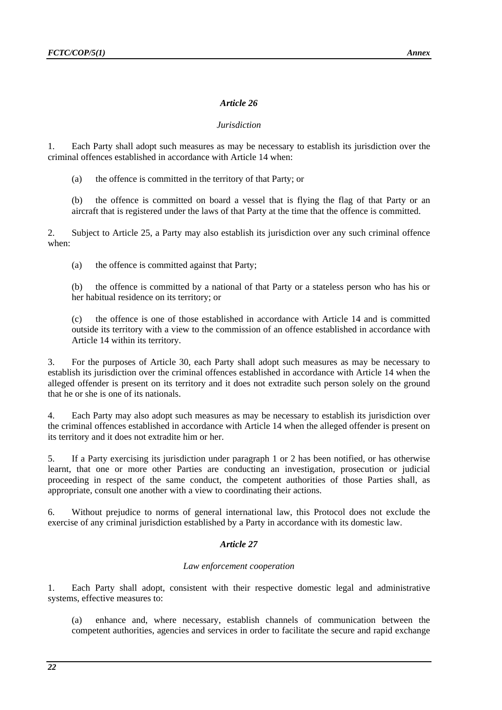## *Jurisdiction*

1. Each Party shall adopt such measures as may be necessary to establish its jurisdiction over the criminal offences established in accordance with Article 14 when:

(a) the offence is committed in the territory of that Party; or

(b) the offence is committed on board a vessel that is flying the flag of that Party or an aircraft that is registered under the laws of that Party at the time that the offence is committed.

2. Subject to Article 25, a Party may also establish its jurisdiction over any such criminal offence when:

(a) the offence is committed against that Party;

(b) the offence is committed by a national of that Party or a stateless person who has his or her habitual residence on its territory; or

(c) the offence is one of those established in accordance with Article 14 and is committed outside its territory with a view to the commission of an offence established in accordance with Article 14 within its territory.

3. For the purposes of Article 30, each Party shall adopt such measures as may be necessary to establish its jurisdiction over the criminal offences established in accordance with Article 14 when the alleged offender is present on its territory and it does not extradite such person solely on the ground that he or she is one of its nationals.

4. Each Party may also adopt such measures as may be necessary to establish its jurisdiction over the criminal offences established in accordance with Article 14 when the alleged offender is present on its territory and it does not extradite him or her.

5. If a Party exercising its jurisdiction under paragraph 1 or 2 has been notified, or has otherwise learnt, that one or more other Parties are conducting an investigation, prosecution or judicial proceeding in respect of the same conduct, the competent authorities of those Parties shall, as appropriate, consult one another with a view to coordinating their actions.

6. Without prejudice to norms of general international law, this Protocol does not exclude the exercise of any criminal jurisdiction established by a Party in accordance with its domestic law.

## *Article 27*

## *Law enforcement cooperation*

1. Each Party shall adopt, consistent with their respective domestic legal and administrative systems, effective measures to:

(a) enhance and, where necessary, establish channels of communication between the competent authorities, agencies and services in order to facilitate the secure and rapid exchange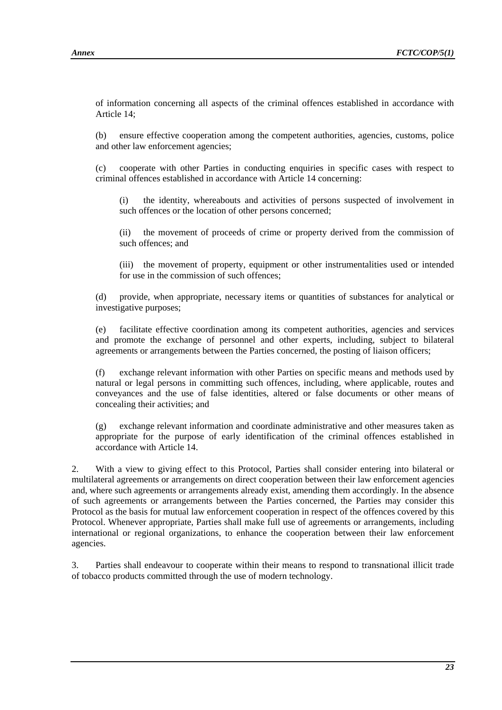of information concerning all aspects of the criminal offences established in accordance with Article 14;

(b) ensure effective cooperation among the competent authorities, agencies, customs, police and other law enforcement agencies;

(c) cooperate with other Parties in conducting enquiries in specific cases with respect to criminal offences established in accordance with Article 14 concerning:

(i) the identity, whereabouts and activities of persons suspected of involvement in such offences or the location of other persons concerned;

(ii) the movement of proceeds of crime or property derived from the commission of such offences; and

(iii) the movement of property, equipment or other instrumentalities used or intended for use in the commission of such offences;

(d) provide, when appropriate, necessary items or quantities of substances for analytical or investigative purposes;

(e) facilitate effective coordination among its competent authorities, agencies and services and promote the exchange of personnel and other experts, including, subject to bilateral agreements or arrangements between the Parties concerned, the posting of liaison officers;

(f) exchange relevant information with other Parties on specific means and methods used by natural or legal persons in committing such offences, including, where applicable, routes and conveyances and the use of false identities, altered or false documents or other means of concealing their activities; and

(g) exchange relevant information and coordinate administrative and other measures taken as appropriate for the purpose of early identification of the criminal offences established in accordance with Article 14.

2. With a view to giving effect to this Protocol, Parties shall consider entering into bilateral or multilateral agreements or arrangements on direct cooperation between their law enforcement agencies and, where such agreements or arrangements already exist, amending them accordingly. In the absence of such agreements or arrangements between the Parties concerned, the Parties may consider this Protocol as the basis for mutual law enforcement cooperation in respect of the offences covered by this Protocol. Whenever appropriate, Parties shall make full use of agreements or arrangements, including international or regional organizations, to enhance the cooperation between their law enforcement agencies.

3. Parties shall endeavour to cooperate within their means to respond to transnational illicit trade of tobacco products committed through the use of modern technology.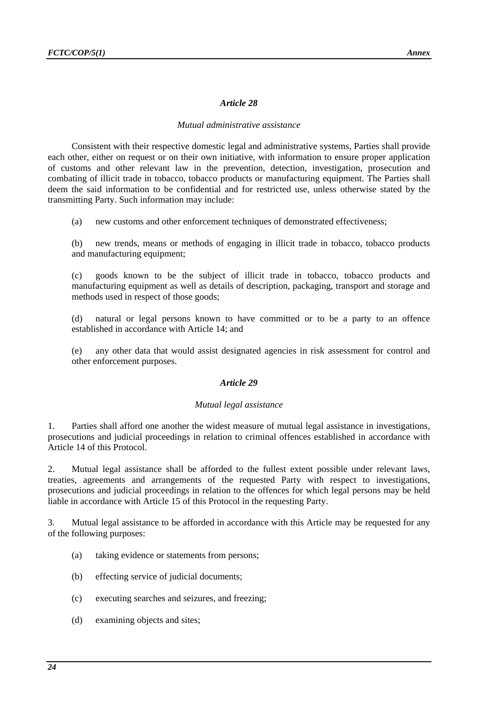#### *Mutual administrative assistance*

Consistent with their respective domestic legal and administrative systems, Parties shall provide each other, either on request or on their own initiative, with information to ensure proper application of customs and other relevant law in the prevention, detection, investigation, prosecution and combating of illicit trade in tobacco, tobacco products or manufacturing equipment. The Parties shall deem the said information to be confidential and for restricted use, unless otherwise stated by the transmitting Party. Such information may include:

(a) new customs and other enforcement techniques of demonstrated effectiveness;

(b) new trends, means or methods of engaging in illicit trade in tobacco, tobacco products and manufacturing equipment;

(c) goods known to be the subject of illicit trade in tobacco, tobacco products and manufacturing equipment as well as details of description, packaging, transport and storage and methods used in respect of those goods;

(d) natural or legal persons known to have committed or to be a party to an offence established in accordance with Article 14; and

(e) any other data that would assist designated agencies in risk assessment for control and other enforcement purposes.

#### *Article 29*

#### *Mutual legal assistance*

1. Parties shall afford one another the widest measure of mutual legal assistance in investigations, prosecutions and judicial proceedings in relation to criminal offences established in accordance with Article 14 of this Protocol.

2. Mutual legal assistance shall be afforded to the fullest extent possible under relevant laws, treaties, agreements and arrangements of the requested Party with respect to investigations, prosecutions and judicial proceedings in relation to the offences for which legal persons may be held liable in accordance with Article 15 of this Protocol in the requesting Party.

3. Mutual legal assistance to be afforded in accordance with this Article may be requested for any of the following purposes:

- (a) taking evidence or statements from persons;
- (b) effecting service of judicial documents;
- (c) executing searches and seizures, and freezing;
- (d) examining objects and sites;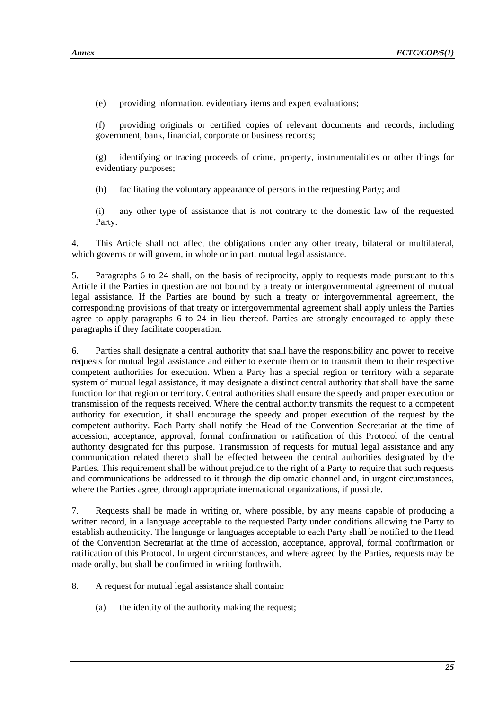(e) providing information, evidentiary items and expert evaluations;

(f) providing originals or certified copies of relevant documents and records, including government, bank, financial, corporate or business records;

(g) identifying or tracing proceeds of crime, property, instrumentalities or other things for evidentiary purposes;

(h) facilitating the voluntary appearance of persons in the requesting Party; and

(i) any other type of assistance that is not contrary to the domestic law of the requested Party.

4. This Article shall not affect the obligations under any other treaty, bilateral or multilateral, which governs or will govern, in whole or in part, mutual legal assistance.

5. Paragraphs 6 to 24 shall, on the basis of reciprocity, apply to requests made pursuant to this Article if the Parties in question are not bound by a treaty or intergovernmental agreement of mutual legal assistance. If the Parties are bound by such a treaty or intergovernmental agreement, the corresponding provisions of that treaty or intergovernmental agreement shall apply unless the Parties agree to apply paragraphs 6 to 24 in lieu thereof. Parties are strongly encouraged to apply these paragraphs if they facilitate cooperation.

6. Parties shall designate a central authority that shall have the responsibility and power to receive requests for mutual legal assistance and either to execute them or to transmit them to their respective competent authorities for execution. When a Party has a special region or territory with a separate system of mutual legal assistance, it may designate a distinct central authority that shall have the same function for that region or territory. Central authorities shall ensure the speedy and proper execution or transmission of the requests received. Where the central authority transmits the request to a competent authority for execution, it shall encourage the speedy and proper execution of the request by the competent authority. Each Party shall notify the Head of the Convention Secretariat at the time of accession, acceptance, approval, formal confirmation or ratification of this Protocol of the central authority designated for this purpose. Transmission of requests for mutual legal assistance and any communication related thereto shall be effected between the central authorities designated by the Parties. This requirement shall be without prejudice to the right of a Party to require that such requests and communications be addressed to it through the diplomatic channel and, in urgent circumstances, where the Parties agree, through appropriate international organizations, if possible.

7. Requests shall be made in writing or, where possible, by any means capable of producing a written record, in a language acceptable to the requested Party under conditions allowing the Party to establish authenticity. The language or languages acceptable to each Party shall be notified to the Head of the Convention Secretariat at the time of accession, acceptance, approval, formal confirmation or ratification of this Protocol. In urgent circumstances, and where agreed by the Parties, requests may be made orally, but shall be confirmed in writing forthwith.

- 8. A request for mutual legal assistance shall contain:
	- (a) the identity of the authority making the request;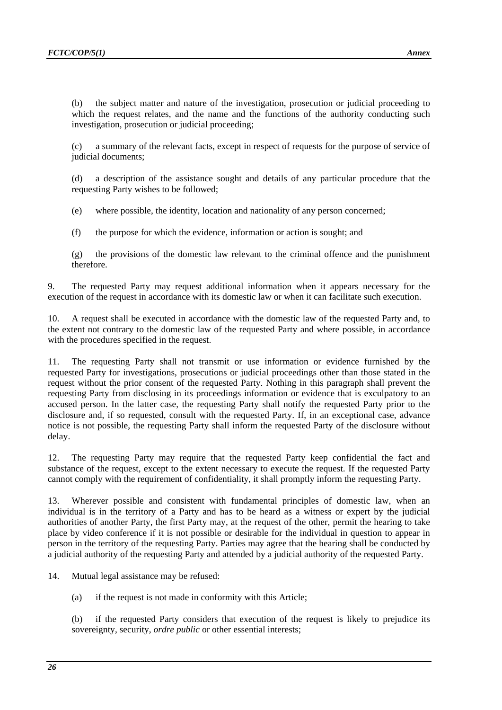(b) the subject matter and nature of the investigation, prosecution or judicial proceeding to which the request relates, and the name and the functions of the authority conducting such investigation, prosecution or judicial proceeding;

(c) a summary of the relevant facts, except in respect of requests for the purpose of service of judicial documents;

(d) a description of the assistance sought and details of any particular procedure that the requesting Party wishes to be followed;

(e) where possible, the identity, location and nationality of any person concerned;

(f) the purpose for which the evidence, information or action is sought; and

(g) the provisions of the domestic law relevant to the criminal offence and the punishment therefore.

9. The requested Party may request additional information when it appears necessary for the execution of the request in accordance with its domestic law or when it can facilitate such execution.

10. A request shall be executed in accordance with the domestic law of the requested Party and, to the extent not contrary to the domestic law of the requested Party and where possible, in accordance with the procedures specified in the request.

11. The requesting Party shall not transmit or use information or evidence furnished by the requested Party for investigations, prosecutions or judicial proceedings other than those stated in the request without the prior consent of the requested Party. Nothing in this paragraph shall prevent the requesting Party from disclosing in its proceedings information or evidence that is exculpatory to an accused person. In the latter case, the requesting Party shall notify the requested Party prior to the disclosure and, if so requested, consult with the requested Party. If, in an exceptional case, advance notice is not possible, the requesting Party shall inform the requested Party of the disclosure without delay.

12. The requesting Party may require that the requested Party keep confidential the fact and substance of the request, except to the extent necessary to execute the request. If the requested Party cannot comply with the requirement of confidentiality, it shall promptly inform the requesting Party.

13. Wherever possible and consistent with fundamental principles of domestic law, when an individual is in the territory of a Party and has to be heard as a witness or expert by the judicial authorities of another Party, the first Party may, at the request of the other, permit the hearing to take place by video conference if it is not possible or desirable for the individual in question to appear in person in the territory of the requesting Party. Parties may agree that the hearing shall be conducted by a judicial authority of the requesting Party and attended by a judicial authority of the requested Party.

14. Mutual legal assistance may be refused:

(a) if the request is not made in conformity with this Article;

(b) if the requested Party considers that execution of the request is likely to prejudice its sovereignty, security, *ordre public* or other essential interests;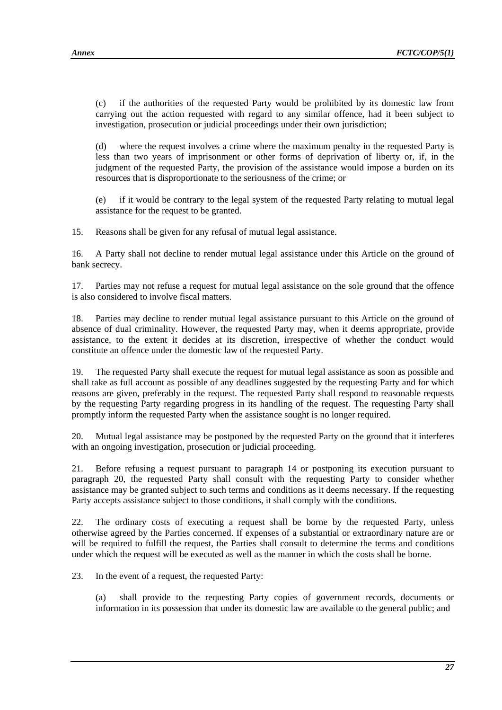(c) if the authorities of the requested Party would be prohibited by its domestic law from carrying out the action requested with regard to any similar offence, had it been subject to investigation, prosecution or judicial proceedings under their own jurisdiction;

(d) where the request involves a crime where the maximum penalty in the requested Party is less than two years of imprisonment or other forms of deprivation of liberty or, if, in the judgment of the requested Party, the provision of the assistance would impose a burden on its resources that is disproportionate to the seriousness of the crime; or

(e) if it would be contrary to the legal system of the requested Party relating to mutual legal assistance for the request to be granted.

15. Reasons shall be given for any refusal of mutual legal assistance.

16. A Party shall not decline to render mutual legal assistance under this Article on the ground of bank secrecy.

17. Parties may not refuse a request for mutual legal assistance on the sole ground that the offence is also considered to involve fiscal matters.

18. Parties may decline to render mutual legal assistance pursuant to this Article on the ground of absence of dual criminality. However, the requested Party may, when it deems appropriate, provide assistance, to the extent it decides at its discretion, irrespective of whether the conduct would constitute an offence under the domestic law of the requested Party.

19. The requested Party shall execute the request for mutual legal assistance as soon as possible and shall take as full account as possible of any deadlines suggested by the requesting Party and for which reasons are given, preferably in the request. The requested Party shall respond to reasonable requests by the requesting Party regarding progress in its handling of the request. The requesting Party shall promptly inform the requested Party when the assistance sought is no longer required.

20. Mutual legal assistance may be postponed by the requested Party on the ground that it interferes with an ongoing investigation, prosecution or judicial proceeding.

21. Before refusing a request pursuant to paragraph 14 or postponing its execution pursuant to paragraph 20, the requested Party shall consult with the requesting Party to consider whether assistance may be granted subject to such terms and conditions as it deems necessary. If the requesting Party accepts assistance subject to those conditions, it shall comply with the conditions.

22. The ordinary costs of executing a request shall be borne by the requested Party, unless otherwise agreed by the Parties concerned. If expenses of a substantial or extraordinary nature are or will be required to fulfill the request, the Parties shall consult to determine the terms and conditions under which the request will be executed as well as the manner in which the costs shall be borne.

23. In the event of a request, the requested Party:

(a) shall provide to the requesting Party copies of government records, documents or information in its possession that under its domestic law are available to the general public; and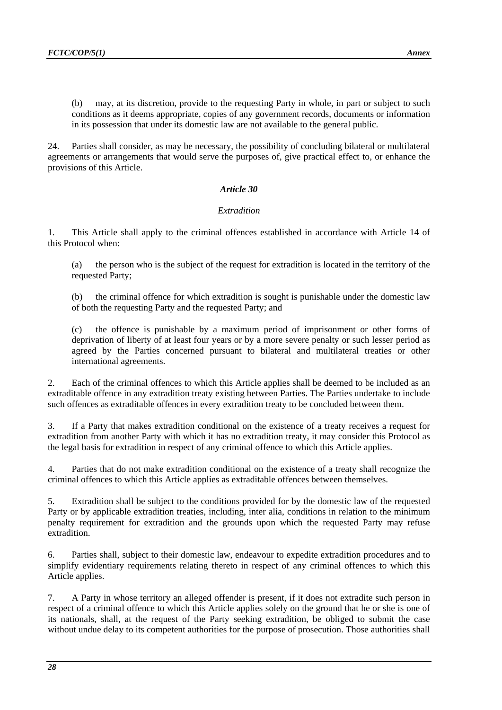(b) may, at its discretion, provide to the requesting Party in whole, in part or subject to such conditions as it deems appropriate, copies of any government records, documents or information in its possession that under its domestic law are not available to the general public.

24. Parties shall consider, as may be necessary, the possibility of concluding bilateral or multilateral agreements or arrangements that would serve the purposes of, give practical effect to, or enhance the provisions of this Article.

#### *Article 30*

#### *Extradition*

1. This Article shall apply to the criminal offences established in accordance with Article 14 of this Protocol when:

(a) the person who is the subject of the request for extradition is located in the territory of the requested Party;

(b) the criminal offence for which extradition is sought is punishable under the domestic law of both the requesting Party and the requested Party; and

(c) the offence is punishable by a maximum period of imprisonment or other forms of deprivation of liberty of at least four years or by a more severe penalty or such lesser period as agreed by the Parties concerned pursuant to bilateral and multilateral treaties or other international agreements.

2. Each of the criminal offences to which this Article applies shall be deemed to be included as an extraditable offence in any extradition treaty existing between Parties. The Parties undertake to include such offences as extraditable offences in every extradition treaty to be concluded between them.

3. If a Party that makes extradition conditional on the existence of a treaty receives a request for extradition from another Party with which it has no extradition treaty, it may consider this Protocol as the legal basis for extradition in respect of any criminal offence to which this Article applies.

4. Parties that do not make extradition conditional on the existence of a treaty shall recognize the criminal offences to which this Article applies as extraditable offences between themselves.

5. Extradition shall be subject to the conditions provided for by the domestic law of the requested Party or by applicable extradition treaties, including, inter alia, conditions in relation to the minimum penalty requirement for extradition and the grounds upon which the requested Party may refuse extradition.

6. Parties shall, subject to their domestic law, endeavour to expedite extradition procedures and to simplify evidentiary requirements relating thereto in respect of any criminal offences to which this Article applies.

7. A Party in whose territory an alleged offender is present, if it does not extradite such person in respect of a criminal offence to which this Article applies solely on the ground that he or she is one of its nationals, shall, at the request of the Party seeking extradition, be obliged to submit the case without undue delay to its competent authorities for the purpose of prosecution. Those authorities shall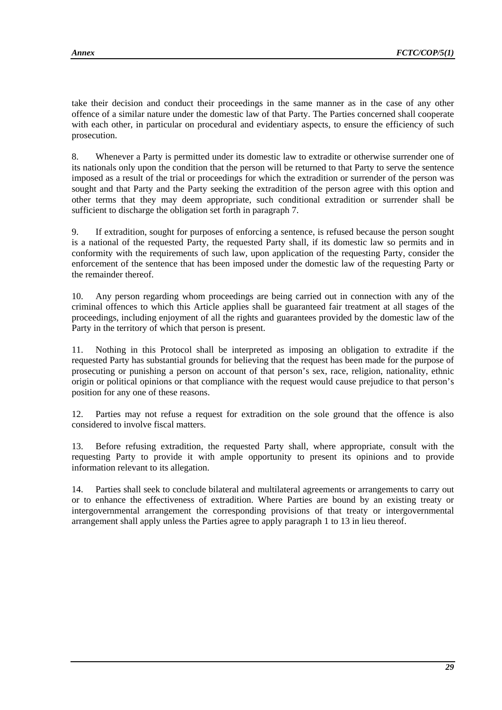take their decision and conduct their proceedings in the same manner as in the case of any other offence of a similar nature under the domestic law of that Party. The Parties concerned shall cooperate with each other, in particular on procedural and evidentiary aspects, to ensure the efficiency of such prosecution.

8. Whenever a Party is permitted under its domestic law to extradite or otherwise surrender one of its nationals only upon the condition that the person will be returned to that Party to serve the sentence imposed as a result of the trial or proceedings for which the extradition or surrender of the person was sought and that Party and the Party seeking the extradition of the person agree with this option and other terms that they may deem appropriate, such conditional extradition or surrender shall be sufficient to discharge the obligation set forth in paragraph 7.

9. If extradition, sought for purposes of enforcing a sentence, is refused because the person sought is a national of the requested Party, the requested Party shall, if its domestic law so permits and in conformity with the requirements of such law, upon application of the requesting Party, consider the enforcement of the sentence that has been imposed under the domestic law of the requesting Party or the remainder thereof.

10. Any person regarding whom proceedings are being carried out in connection with any of the criminal offences to which this Article applies shall be guaranteed fair treatment at all stages of the proceedings, including enjoyment of all the rights and guarantees provided by the domestic law of the Party in the territory of which that person is present.

11. Nothing in this Protocol shall be interpreted as imposing an obligation to extradite if the requested Party has substantial grounds for believing that the request has been made for the purpose of prosecuting or punishing a person on account of that person's sex, race, religion, nationality, ethnic origin or political opinions or that compliance with the request would cause prejudice to that person's position for any one of these reasons.

12. Parties may not refuse a request for extradition on the sole ground that the offence is also considered to involve fiscal matters.

13. Before refusing extradition, the requested Party shall, where appropriate, consult with the requesting Party to provide it with ample opportunity to present its opinions and to provide information relevant to its allegation.

14. Parties shall seek to conclude bilateral and multilateral agreements or arrangements to carry out or to enhance the effectiveness of extradition. Where Parties are bound by an existing treaty or intergovernmental arrangement the corresponding provisions of that treaty or intergovernmental arrangement shall apply unless the Parties agree to apply paragraph 1 to 13 in lieu thereof.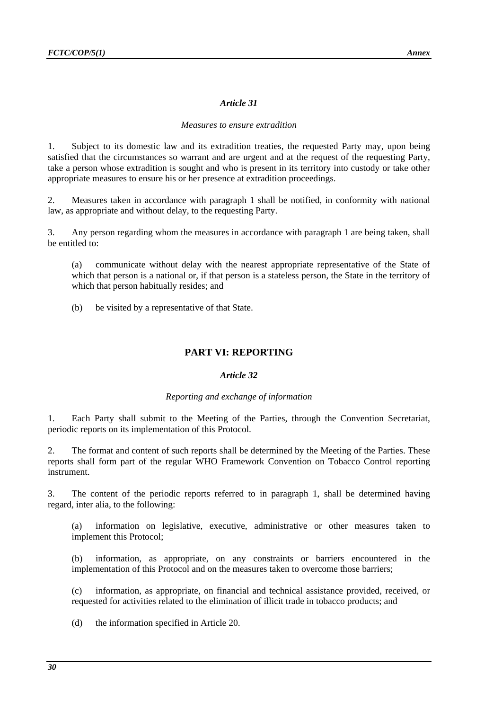#### *Measures to ensure extradition*

1. Subject to its domestic law and its extradition treaties, the requested Party may, upon being satisfied that the circumstances so warrant and are urgent and at the request of the requesting Party, take a person whose extradition is sought and who is present in its territory into custody or take other appropriate measures to ensure his or her presence at extradition proceedings.

2. Measures taken in accordance with paragraph 1 shall be notified, in conformity with national law, as appropriate and without delay, to the requesting Party.

3. Any person regarding whom the measures in accordance with paragraph 1 are being taken, shall be entitled to:

(a) communicate without delay with the nearest appropriate representative of the State of which that person is a national or, if that person is a stateless person, the State in the territory of which that person habitually resides; and

(b) be visited by a representative of that State.

## **PART VI: REPORTING**

#### *Article 32*

#### *Reporting and exchange of information*

1. Each Party shall submit to the Meeting of the Parties, through the Convention Secretariat, periodic reports on its implementation of this Protocol.

2. The format and content of such reports shall be determined by the Meeting of the Parties. These reports shall form part of the regular WHO Framework Convention on Tobacco Control reporting instrument.

3. The content of the periodic reports referred to in paragraph 1, shall be determined having regard, inter alia, to the following:

(a) information on legislative, executive, administrative or other measures taken to implement this Protocol;

(b) information, as appropriate, on any constraints or barriers encountered in the implementation of this Protocol and on the measures taken to overcome those barriers;

(c) information, as appropriate, on financial and technical assistance provided, received, or requested for activities related to the elimination of illicit trade in tobacco products; and

(d) the information specified in Article 20.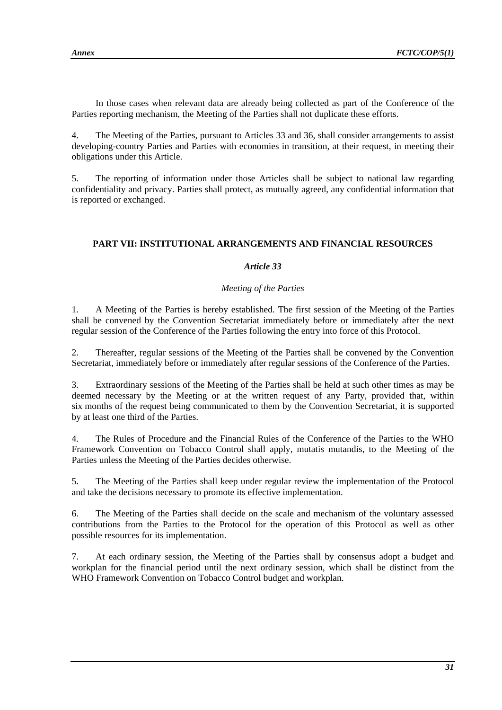In those cases when relevant data are already being collected as part of the Conference of the Parties reporting mechanism, the Meeting of the Parties shall not duplicate these efforts.

4. The Meeting of the Parties, pursuant to Articles 33 and 36, shall consider arrangements to assist developing-country Parties and Parties with economies in transition, at their request, in meeting their obligations under this Article.

5. The reporting of information under those Articles shall be subject to national law regarding confidentiality and privacy. Parties shall protect, as mutually agreed, any confidential information that is reported or exchanged.

## **PART VII: INSTITUTIONAL ARRANGEMENTS AND FINANCIAL RESOURCES**

#### *Article 33*

#### *Meeting of the Parties*

1. A Meeting of the Parties is hereby established. The first session of the Meeting of the Parties shall be convened by the Convention Secretariat immediately before or immediately after the next regular session of the Conference of the Parties following the entry into force of this Protocol.

2. Thereafter, regular sessions of the Meeting of the Parties shall be convened by the Convention Secretariat, immediately before or immediately after regular sessions of the Conference of the Parties.

3. Extraordinary sessions of the Meeting of the Parties shall be held at such other times as may be deemed necessary by the Meeting or at the written request of any Party, provided that, within six months of the request being communicated to them by the Convention Secretariat, it is supported by at least one third of the Parties.

4. The Rules of Procedure and the Financial Rules of the Conference of the Parties to the WHO Framework Convention on Tobacco Control shall apply, mutatis mutandis, to the Meeting of the Parties unless the Meeting of the Parties decides otherwise.

5. The Meeting of the Parties shall keep under regular review the implementation of the Protocol and take the decisions necessary to promote its effective implementation.

6. The Meeting of the Parties shall decide on the scale and mechanism of the voluntary assessed contributions from the Parties to the Protocol for the operation of this Protocol as well as other possible resources for its implementation.

7. At each ordinary session, the Meeting of the Parties shall by consensus adopt a budget and workplan for the financial period until the next ordinary session, which shall be distinct from the WHO Framework Convention on Tobacco Control budget and workplan.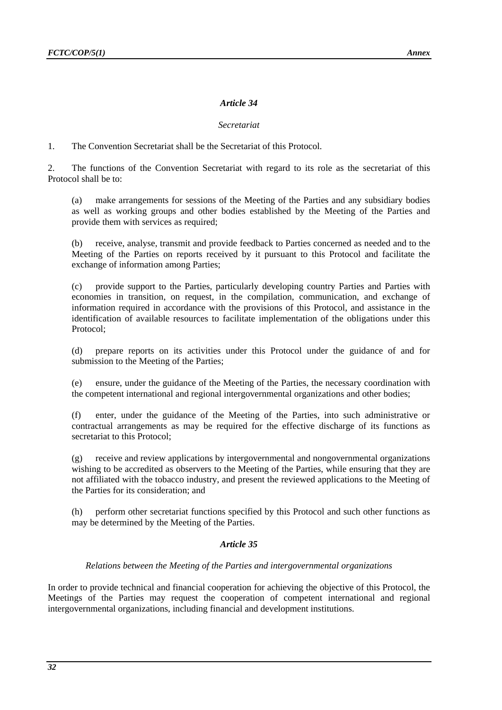#### *Secretariat*

1. The Convention Secretariat shall be the Secretariat of this Protocol.

2. The functions of the Convention Secretariat with regard to its role as the secretariat of this Protocol shall be to:

(a) make arrangements for sessions of the Meeting of the Parties and any subsidiary bodies as well as working groups and other bodies established by the Meeting of the Parties and provide them with services as required;

(b) receive, analyse, transmit and provide feedback to Parties concerned as needed and to the Meeting of the Parties on reports received by it pursuant to this Protocol and facilitate the exchange of information among Parties;

(c) provide support to the Parties, particularly developing country Parties and Parties with economies in transition, on request, in the compilation, communication, and exchange of information required in accordance with the provisions of this Protocol, and assistance in the identification of available resources to facilitate implementation of the obligations under this Protocol;

(d) prepare reports on its activities under this Protocol under the guidance of and for submission to the Meeting of the Parties;

(e) ensure, under the guidance of the Meeting of the Parties, the necessary coordination with the competent international and regional intergovernmental organizations and other bodies;

(f) enter, under the guidance of the Meeting of the Parties, into such administrative or contractual arrangements as may be required for the effective discharge of its functions as secretariat to this Protocol:

(g) receive and review applications by intergovernmental and nongovernmental organizations wishing to be accredited as observers to the Meeting of the Parties, while ensuring that they are not affiliated with the tobacco industry, and present the reviewed applications to the Meeting of the Parties for its consideration; and

(h) perform other secretariat functions specified by this Protocol and such other functions as may be determined by the Meeting of the Parties.

## *Article 35*

## *Relations between the Meeting of the Parties and intergovernmental organizations*

In order to provide technical and financial cooperation for achieving the objective of this Protocol, the Meetings of the Parties may request the cooperation of competent international and regional intergovernmental organizations, including financial and development institutions.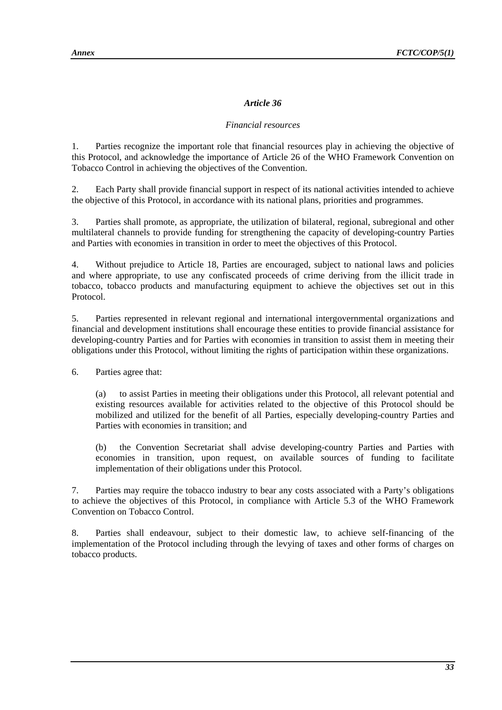## *Financial resources*

1. Parties recognize the important role that financial resources play in achieving the objective of this Protocol, and acknowledge the importance of Article 26 of the WHO Framework Convention on Tobacco Control in achieving the objectives of the Convention.

2. Each Party shall provide financial support in respect of its national activities intended to achieve the objective of this Protocol, in accordance with its national plans, priorities and programmes.

3. Parties shall promote, as appropriate, the utilization of bilateral, regional, subregional and other multilateral channels to provide funding for strengthening the capacity of developing-country Parties and Parties with economies in transition in order to meet the objectives of this Protocol.

4. Without prejudice to Article 18, Parties are encouraged, subject to national laws and policies and where appropriate, to use any confiscated proceeds of crime deriving from the illicit trade in tobacco, tobacco products and manufacturing equipment to achieve the objectives set out in this Protocol.

5. Parties represented in relevant regional and international intergovernmental organizations and financial and development institutions shall encourage these entities to provide financial assistance for developing-country Parties and for Parties with economies in transition to assist them in meeting their obligations under this Protocol, without limiting the rights of participation within these organizations.

6. Parties agree that:

(a) to assist Parties in meeting their obligations under this Protocol, all relevant potential and existing resources available for activities related to the objective of this Protocol should be mobilized and utilized for the benefit of all Parties, especially developing-country Parties and Parties with economies in transition; and

(b) the Convention Secretariat shall advise developing-country Parties and Parties with economies in transition, upon request, on available sources of funding to facilitate implementation of their obligations under this Protocol.

7. Parties may require the tobacco industry to bear any costs associated with a Party's obligations to achieve the objectives of this Protocol, in compliance with Article 5.3 of the WHO Framework Convention on Tobacco Control.

8. Parties shall endeavour, subject to their domestic law, to achieve self-financing of the implementation of the Protocol including through the levying of taxes and other forms of charges on tobacco products.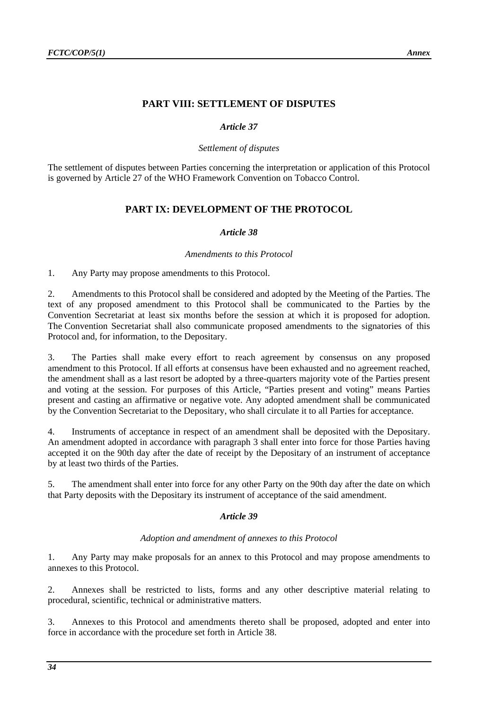# **PART VIII: SETTLEMENT OF DISPUTES**

## *Article 37*

#### *Settlement of disputes*

The settlement of disputes between Parties concerning the interpretation or application of this Protocol is governed by Article 27 of the WHO Framework Convention on Tobacco Control.

## **PART IX: DEVELOPMENT OF THE PROTOCOL**

#### *Article 38*

#### *Amendments to this Protocol*

1. Any Party may propose amendments to this Protocol.

2. Amendments to this Protocol shall be considered and adopted by the Meeting of the Parties. The text of any proposed amendment to this Protocol shall be communicated to the Parties by the Convention Secretariat at least six months before the session at which it is proposed for adoption. The Convention Secretariat shall also communicate proposed amendments to the signatories of this Protocol and, for information, to the Depositary.

3. The Parties shall make every effort to reach agreement by consensus on any proposed amendment to this Protocol. If all efforts at consensus have been exhausted and no agreement reached, the amendment shall as a last resort be adopted by a three-quarters majority vote of the Parties present and voting at the session. For purposes of this Article, "Parties present and voting" means Parties present and casting an affirmative or negative vote. Any adopted amendment shall be communicated by the Convention Secretariat to the Depositary, who shall circulate it to all Parties for acceptance.

4. Instruments of acceptance in respect of an amendment shall be deposited with the Depositary. An amendment adopted in accordance with paragraph 3 shall enter into force for those Parties having accepted it on the 90th day after the date of receipt by the Depositary of an instrument of acceptance by at least two thirds of the Parties.

5. The amendment shall enter into force for any other Party on the 90th day after the date on which that Party deposits with the Depositary its instrument of acceptance of the said amendment.

#### *Article 39*

#### *Adoption and amendment of annexes to this Protocol*

1. Any Party may make proposals for an annex to this Protocol and may propose amendments to annexes to this Protocol.

2. Annexes shall be restricted to lists, forms and any other descriptive material relating to procedural, scientific, technical or administrative matters.

3. Annexes to this Protocol and amendments thereto shall be proposed, adopted and enter into force in accordance with the procedure set forth in Article 38.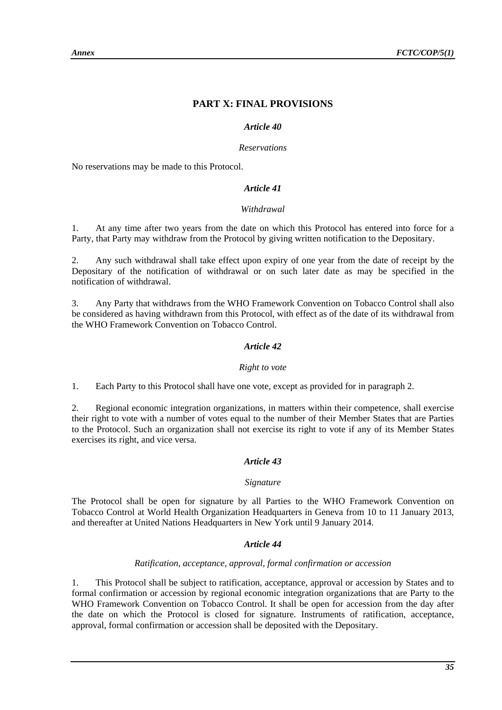# **PART X: FINAL PROVISIONS**

## *Article 40*

#### *Reservations*

No reservations may be made to this Protocol.

## *Article 41*

#### *Withdrawal*

1. At any time after two years from the date on which this Protocol has entered into force for a Party, that Party may withdraw from the Protocol by giving written notification to the Depositary.

2. Any such withdrawal shall take effect upon expiry of one year from the date of receipt by the Depositary of the notification of withdrawal or on such later date as may be specified in the notification of withdrawal.

3. Any Party that withdraws from the WHO Framework Convention on Tobacco Control shall also be considered as having withdrawn from this Protocol, with effect as of the date of its withdrawal from the WHO Framework Convention on Tobacco Control.

## *Article 42*

## *Right to vote*

1. Each Party to this Protocol shall have one vote, except as provided for in paragraph 2.

2. Regional economic integration organizations, in matters within their competence, shall exercise their right to vote with a number of votes equal to the number of their Member States that are Parties to the Protocol. Such an organization shall not exercise its right to vote if any of its Member States exercises its right, and vice versa.

## *Article 43*

#### *Signature*

The Protocol shall be open for signature by all Parties to the WHO Framework Convention on Tobacco Control at World Health Organization Headquarters in Geneva from 10 to 11 January 2013, and thereafter at United Nations Headquarters in New York until 9 January 2014.

## *Article 44*

## *Ratification, acceptance, approval, formal confirmation or accession*

1. This Protocol shall be subject to ratification, acceptance, approval or accession by States and to formal confirmation or accession by regional economic integration organizations that are Party to the WHO Framework Convention on Tobacco Control. It shall be open for accession from the day after the date on which the Protocol is closed for signature. Instruments of ratification, acceptance, approval, formal confirmation or accession shall be deposited with the Depositary.